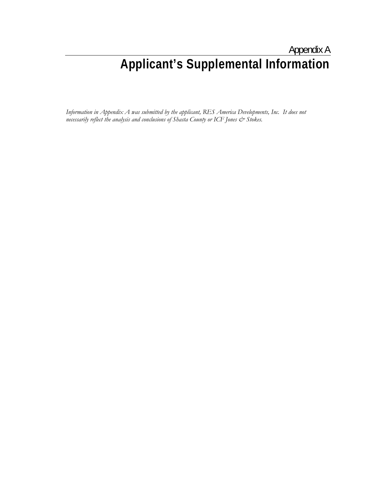# Appendix A **Applicant's Supplemental Information**

*Information in Appendix A was submitted by the applicant, RES America Developments, Inc. It does not necessarily reflect the analysis and conclusions of Shasta County or ICF Jones*  $\mathcal O$  *Stokes.*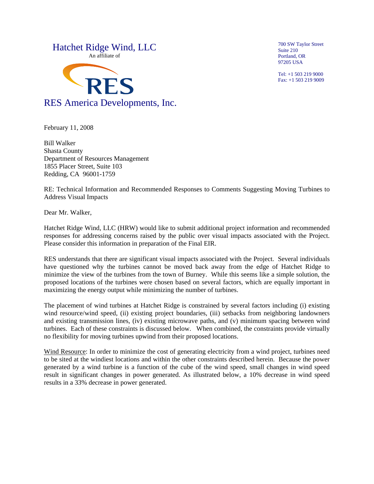

700 SW Taylor Street Suite 210 Portland, OR 97205 USA

Tel: +1 503 219 9000 Fax: +1 503 219 9009

February 11, 2008

Bill Walker Shasta County Department of Resources Management 1855 Placer Street, Suite 103 Redding, CA 96001-1759

RE: Technical Information and Recommended Responses to Comments Suggesting Moving Turbines to Address Visual Impacts

Dear Mr. Walker,

Hatchet Ridge Wind, LLC (HRW) would like to submit additional project information and recommended responses for addressing concerns raised by the public over visual impacts associated with the Project. Please consider this information in preparation of the Final EIR.

RES understands that there are significant visual impacts associated with the Project. Several individuals have questioned why the turbines cannot be moved back away from the edge of Hatchet Ridge to minimize the view of the turbines from the town of Burney. While this seems like a simple solution, the proposed locations of the turbines were chosen based on several factors, which are equally important in maximizing the energy output while minimizing the number of turbines.

The placement of wind turbines at Hatchet Ridge is constrained by several factors including (i) existing wind resource/wind speed, (ii) existing project boundaries, (iii) setbacks from neighboring landowners and existing transmission lines, (iv) existing microwave paths, and (v) minimum spacing between wind turbines. Each of these constraints is discussed below. When combined, the constraints provide virtually no flexibility for moving turbines upwind from their proposed locations.

Wind Resource: In order to minimize the cost of generating electricity from a wind project, turbines need to be sited at the windiest locations and within the other constraints described herein. Because the power generated by a wind turbine is a function of the cube of the wind speed, small changes in wind speed result in significant changes in power generated. As illustrated below, a 10% decrease in wind speed results in a 33% decrease in power generated.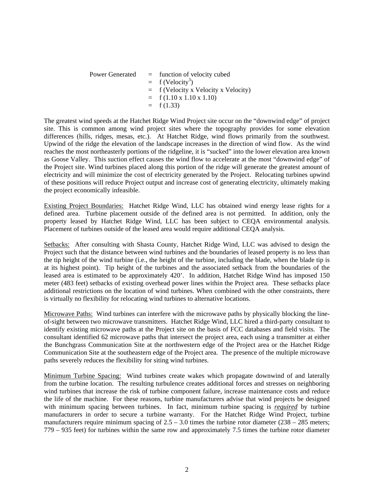Power Generated  $=$  function of velocity cubed  $= f (Velocity<sup>3</sup>)$  = f (Velocity x Velocity x Velocity)  $= f (1.10 \times 1.10 \times 1.10)$  $= f(1.33)$ 

The greatest wind speeds at the Hatchet Ridge Wind Project site occur on the "downwind edge" of project site. This is common among wind project sites where the topography provides for some elevation differences (hills, ridges, mesas, etc.). At Hatchet Ridge, wind flows primarily from the southwest. Upwind of the ridge the elevation of the landscape increases in the direction of wind flow. As the wind reaches the most northeasterly portions of the ridgeline, it is "sucked" into the lower elevation area known as Goose Valley. This suction effect causes the wind flow to accelerate at the most "downwind edge" of the Project site. Wind turbines placed along this portion of the ridge will generate the greatest amount of electricity and will minimize the cost of electricity generated by the Project. Relocating turbines upwind of these positions will reduce Project output and increase cost of generating electricity, ultimately making the project economically infeasible.

Existing Project Boundaries: Hatchet Ridge Wind, LLC has obtained wind energy lease rights for a defined area. Turbine placement outside of the defined area is not permitted. In addition, only the property leased by Hatchet Ridge Wind, LLC has been subject to CEQA environmental analysis. Placement of turbines outside of the leased area would require additional CEQA analysis.

Setbacks: After consulting with Shasta County, Hatchet Ridge Wind, LLC was advised to design the Project such that the distance between wind turbines and the boundaries of leased property is no less than the tip height of the wind turbine (i.e., the height of the turbine, including the blade, when the blade tip is at its highest point). Tip height of the turbines and the associated setback from the boundaries of the leased area is estimated to be approximately 420'. In addition, Hatchet Ridge Wind has imposed 150 meter (483 feet) setbacks of existing overhead power lines within the Project area. These setbacks place additional restrictions on the location of wind turbines. When combined with the other constraints, there is virtually no flexibility for relocating wind turbines to alternative locations.

Microwave Paths: Wind turbines can interfere with the microwave paths by physically blocking the lineof-sight between two microwave transmitters. Hatchet Ridge Wind, LLC hired a third-party consultant to identify existing microwave paths at the Project site on the basis of FCC databases and field visits. The consultant identified 62 microwave paths that intersect the project area, each using a transmitter at either the Bunchgrass Communication Site at the northwestern edge of the Project area or the Hatchet Ridge Communication Site at the southeastern edge of the Project area. The presence of the multiple microwave paths severely reduces the flexibility for siting wind turbines.

Minimum Turbine Spacing: Wind turbines create wakes which propagate downwind of and laterally from the turbine location. The resulting turbulence creates additional forces and stresses on neighboring wind turbines that increase the risk of turbine component failure, increase maintenance costs and reduce the life of the machine. For these reasons, turbine manufacturers advise that wind projects be designed with minimum spacing between turbines. In fact, minimum turbine spacing is *required* by turbine manufacturers in order to secure a turbine warranty. For the Hatchet Ridge Wind Project, turbine manufacturers require minimum spacing of  $2.5 - 3.0$  times the turbine rotor diameter  $(238 - 285$  meters; 779 – 935 feet) for turbines within the same row and approximately 7.5 times the turbine rotor diameter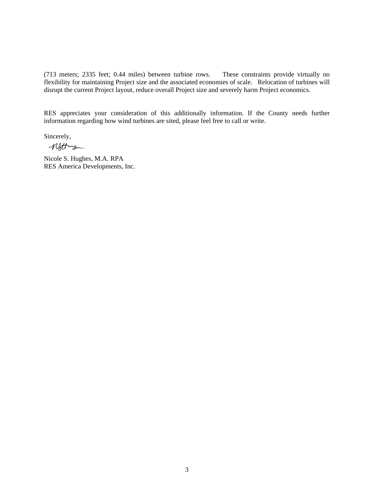(713 meters; 2335 feet; 0.44 miles) between turbine rows. These constraints provide virtually no flexibility for maintaining Project size and the associated economies of scale. Relocation of turbines will disrupt the current Project layout, reduce overall Project size and severely harm Project economics.

RES appreciates your consideration of this additionally information. If the County needs further information regarding how wind turbines are sited, please feel free to call or write.

Sincerely,

netters

Nicole S. Hughes, M.A. RPA RES America Developments, Inc.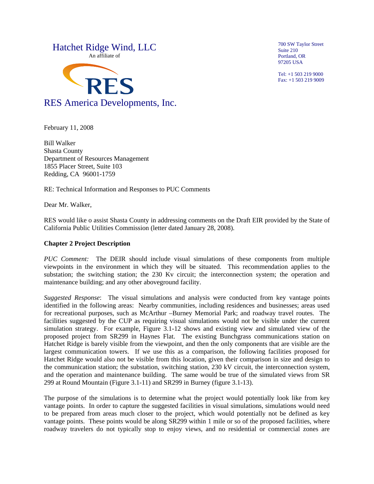

February 11, 2008

Bill Walker Shasta County Department of Resources Management 1855 Placer Street, Suite 103 Redding, CA 96001-1759

RE: Technical Information and Responses to PUC Comments

Dear Mr. Walker,

RES would like o assist Shasta County in addressing comments on the Draft EIR provided by the State of California Public Utilities Commission (letter dated January 28, 2008).

#### **Chapter 2 Project Description**

*PUC Comment:* The DEIR should include visual simulations of these components from multiple viewpoints in the environment in which they will be situated. This recommendation applies to the substation; the switching station; the 230 Kv circuit; the interconnection system; the operation and maintenance building; and any other aboveground facility.

*Suggested Response*: The visual simulations and analysis were conducted from key vantage points identified in the following areas: Nearby communities, including residences and businesses; areas used for recreational purposes, such as McArthur –Burney Memorial Park; and roadway travel routes. The facilities suggested by the CUP as requiring visual simulations would not be visible under the current simulation strategy. For example, Figure 3.1-12 shows and existing view and simulated view of the proposed project from SR299 in Haynes Flat. The existing Bunchgrass communications station on Hatchet Ridge is barely visible from the viewpoint, and then the only components that are visible are the largest communication towers. If we use this as a comparison, the following facilities proposed for Hatchet Ridge would also not be visible from this location, given their comparison in size and design to the communication station; the substation, switching station, 230 kV circuit, the interconnection system, and the operation and maintenance building. The same would be true of the simulated views from SR 299 at Round Mountain (Figure 3.1-11) and SR299 in Burney (figure 3.1-13).

The purpose of the simulations is to determine what the project would potentially look like from key vantage points. In order to capture the suggested facilities in visual simulations, simulations would need to be prepared from areas much closer to the project, which would potentially not be defined as key vantage points. These points would be along SR299 within 1 mile or so of the proposed facilities, where roadway travelers do not typically stop to enjoy views, and no residential or commercial zones are

700 SW Taylor Street Suite 210 Portland, OR 97205 USA

Tel: +1 503 219 9000 Fax: +1 503 219 9009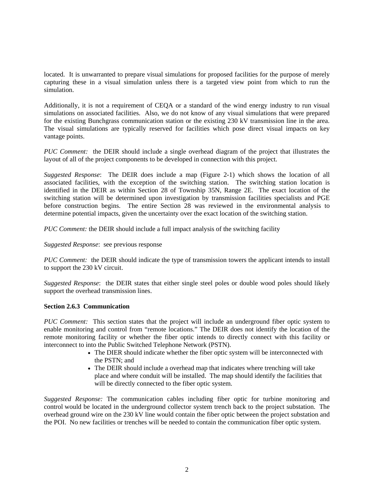located. It is unwarranted to prepare visual simulations for proposed facilities for the purpose of merely capturing these in a visual simulation unless there is a targeted view point from which to run the simulation.

Additionally, it is not a requirement of CEQA or a standard of the wind energy industry to run visual simulations on associated facilities. Also, we do not know of any visual simulations that were prepared for the existing Bunchgrass communication station or the existing 230 kV transmission line in the area. The visual simulations are typically reserved for facilities which pose direct visual impacts on key vantage points.

*PUC Comment:* the DEIR should include a single overhead diagram of the project that illustrates the layout of all of the project components to be developed in connection with this project.

*Suggested Response*: The DEIR does include a map (Figure 2-1) which shows the location of all associated facilities, with the exception of the switching station. The switching station location is identified in the DEIR as within Section 28 of Township 35N, Range 2E. The exact location of the switching station will be determined upon investigation by transmission facilities specialists and PGE before construction begins. The entire Section 28 was reviewed in the environmental analysis to determine potential impacts, given the uncertainty over the exact location of the switching station.

*PUC Comment:* the DEIR should include a full impact analysis of the switching facility

#### *Suggested Response*: see previous response

*PUC Comment:* the DEIR should indicate the type of transmission towers the applicant intends to install to support the 230 kV circuit.

*Suggested Response*: the DEIR states that either single steel poles or double wood poles should likely support the overhead transmission lines.

#### **Section 2.6.3 Communication**

*PUC Comment:* This section states that the project will include an underground fiber optic system to enable monitoring and control from "remote locations." The DEIR does not identify the location of the remote monitoring facility or whether the fiber optic intends to directly connect with this facility or interconnect to into the Public Switched Telephone Network (PSTN).

- The DIER should indicate whether the fiber optic system will be interconnected with the PSTN; and
- The DEIR should include a overhead map that indicates where trenching will take place and where conduit will be installed. The map should identify the facilities that will be directly connected to the fiber optic system.

*Suggested Response:* The communication cables including fiber optic for turbine monitoring and control would be located in the underground collector system trench back to the project substation. The overhead ground wire on the 230 kV line would contain the fiber optic between the project substation and the POI. No new facilities or trenches will be needed to contain the communication fiber optic system.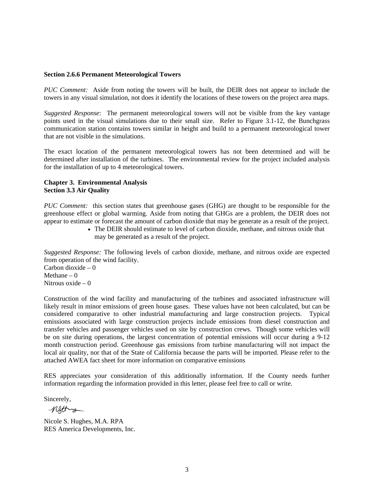#### **Section 2.6.6 Permanent Meteorological Towers**

*PUC Comment:* Aside from noting the towers will be built, the DEIR does not appear to include the towers in any visual simulation, not does it identify the locations of these towers on the project area maps.

*Suggested Response*: The permanent meteorological towers will not be visible from the key vantage points used in the visual simulations due to their small size. Refer to Figure 3.1-12, the Bunchgrass communication station contains towers similar in height and build to a permanent meteorological tower that are not visible in the simulations.

The exact location of the permanent meteorological towers has not been determined and will be determined after installation of the turbines. The environmental review for the project included analysis for the installation of up to 4 meteorological towers.

#### **Chapter 3. Environmental Analysis Section 3.3 Air Quality**

*PUC Comment:* this section states that greenhouse gases (GHG) are thought to be responsible for the greenhouse effect or global warming. Aside from noting that GHGs are a problem, the DEIR does not appear to estimate or forecast the amount of carbon dioxide that may be generate as a result of the project.

• The DEIR should estimate to level of carbon dioxide, methane, and nitrous oxide that may be generated as a result of the project.

*Suggested Response:* The following levels of carbon dioxide, methane, and nitrous oxide are expected from operation of the wind facility.

Carbon dioxide  $-0$ Methane  $-0$ Nitrous oxide  $= 0$ 

Construction of the wind facility and manufacturing of the turbines and associated infrastructure will likely result in minor emissions of green house gases. These values have not been calculated, but can be considered comparative to other industrial manufacturing and large construction projects. Typical emissions associated with large construction projects include emissions from diesel construction and transfer vehicles and passenger vehicles used on site by construction crews. Though some vehicles will be on site during operations, the largest concentration of potential emissions will occur during a 9-12 month construction period. Greenhouse gas emissions from turbine manufacturing will not impact the local air quality, nor that of the State of California because the parts will be imported. Please refer to the attached AWEA fact sheet for more information on comparative emissions

RES appreciates your consideration of this additionally information. If the County needs further information regarding the information provided in this letter, please feel free to call or write.

Sincerely,

netting

Nicole S. Hughes, M.A. RPA RES America Developments, Inc.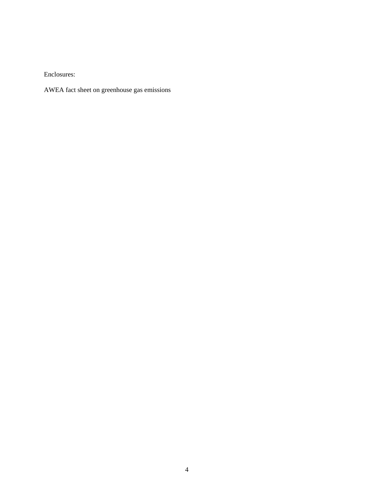Enclosures:

AWEA fact sheet on greenhouse gas emissions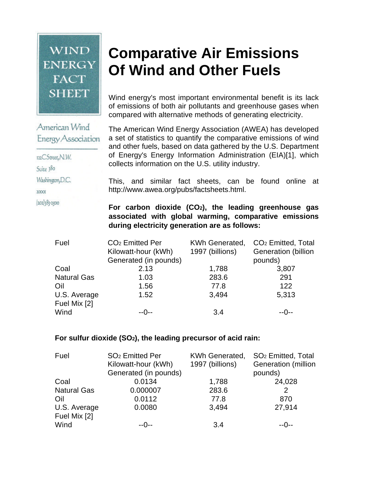# **WIND ENERGY FACT SHEET**

# **Comparative Air Emissions Of Wind and Other Fuels**

Wind energy's most important environmental benefit is its lack of emissions of both air pollutants and greenhouse gases when compared with alternative methods of generating electricity.

The American Wind Energy Association (AWEA) has developed a set of statistics to quantify the comparative emissions of wind and other fuels, based on data gathered by the U.S. Department of Energy's Energy Information Administration (EIA)[1], which collects information on the U.S. utility industry.

This, and similar fact sheets, can be found online at http://www.awea.org/pubs/factsheets.html.

**For carbon dioxide (CO2), the leading greenhouse gas associated with global warming, comparative emissions during electricity generation are as follows:**

| Fuel               | CO <sub>2</sub> Emitted Per | KWh Generated,  | CO <sub>2</sub> Emitted, Total |  |  |
|--------------------|-----------------------------|-----------------|--------------------------------|--|--|
|                    | Kilowatt-hour (kWh)         | 1997 (billions) | <b>Generation</b> (billion     |  |  |
|                    | Generated (in pounds)       |                 | pounds)                        |  |  |
| Coal               | 2.13                        | 1,788           | 3,807                          |  |  |
| <b>Natural Gas</b> | 1.03                        | 283.6           | 291                            |  |  |
| Oil                | 1.56                        | 77.8            | 122                            |  |  |
| U.S. Average       | 1.52                        | 3,494           | 5,313                          |  |  |
| Fuel Mix [2]       |                             |                 |                                |  |  |
| Wind               | $-0-$                       | 3.4             | $-0-$                          |  |  |

# **For sulfur dioxide (SO2), the leading precursor of acid rain:**

| Fuel               | SO <sub>2</sub> Emitted Per | <b>KWh Generated,</b> | SO <sub>2</sub> Emitted, Total |  |  |
|--------------------|-----------------------------|-----------------------|--------------------------------|--|--|
|                    | Kilowatt-hour (kWh)         | 1997 (billions)       | <b>Generation</b> (million     |  |  |
|                    | Generated (in pounds)       |                       | pounds)                        |  |  |
| Coal               | 0.0134                      | 1,788                 | 24,028                         |  |  |
| <b>Natural Gas</b> | 0.000007                    | 283.6                 | 2                              |  |  |
| Oil                | 0.0112                      | 77.8                  | 870                            |  |  |
| U.S. Average       | 0.0080                      | 3,494                 | 27,914                         |  |  |
| Fuel Mix [2]       |                             |                       |                                |  |  |
| Wind               | $-0-$                       | 3.4                   | $-0-$                          |  |  |

Energy Association 122CStreet, N.W. Suite 380

American Wind

Washington, D.C.

20000

202383-2500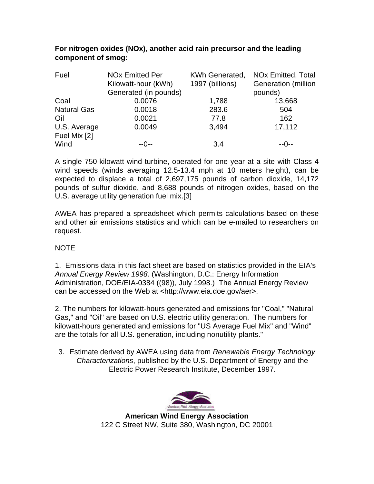| For nitrogen oxides (NOx), another acid rain precursor and the leading |  |
|------------------------------------------------------------------------|--|
| component of smog:                                                     |  |

| Fuel               | <b>NO<sub>x</sub></b> Emitted Per<br>Kilowatt-hour (kWh)<br>Generated (in pounds) | KWh Generated,<br>1997 (billions) | NO <sub>x</sub> Emitted, Total<br>Generation (million<br>pounds) |  |  |
|--------------------|-----------------------------------------------------------------------------------|-----------------------------------|------------------------------------------------------------------|--|--|
| Coal               | 0.0076                                                                            | 1,788                             | 13,668                                                           |  |  |
| <b>Natural Gas</b> | 0.0018                                                                            | 283.6                             | 504                                                              |  |  |
| Oil                | 0.0021                                                                            | 77.8                              | 162                                                              |  |  |
| U.S. Average       | 0.0049                                                                            | 3,494                             | 17,112                                                           |  |  |
| Fuel Mix [2]       |                                                                                   |                                   |                                                                  |  |  |
| Wind               | --0--                                                                             | 3.4                               | --∩--                                                            |  |  |

A single 750-kilowatt wind turbine, operated for one year at a site with Class 4 wind speeds (winds averaging 12.5-13.4 mph at 10 meters height), can be expected to displace a total of 2,697,175 pounds of carbon dioxide, 14,172 pounds of sulfur dioxide, and 8,688 pounds of nitrogen oxides, based on the U.S. average utility generation fuel mix.[3]

AWEA has prepared a spreadsheet which permits calculations based on these and other air emissions statistics and which can be e-mailed to researchers on request.

# NOTE

1. Emissions data in this fact sheet are based on statistics provided in the EIA's *Annual Energy Review 1998.* (Washington, D.C.: Energy Information Administration, DOE/EIA-0384 ((98)), July 1998.) The Annual Energy Review can be accessed on the Web at <http://www.eia.doe.gov/aer>.

2. The numbers for kilowatt-hours generated and emissions for "Coal," "Natural Gas," and "Oil" are based on U.S. electric utility generation. The numbers for kilowatt-hours generated and emissions for "US Average Fuel Mix" and "Wind" are the totals for all U.S. generation, including nonutility plants."

3. Estimate derived by AWEA using data from *Renewable Energy Technology Characterizations*, published by the U.S. Department of Energy and the Electric Power Research Institute, December 1997.



**American Wind Energy Association** 122 C Street NW, Suite 380, Washington, DC 20001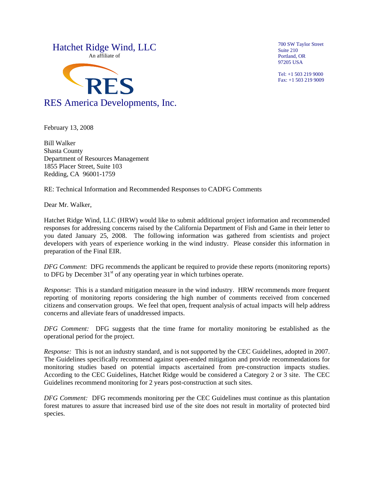

February 13, 2008

Bill Walker Shasta County Department of Resources Management 1855 Placer Street, Suite 103 Redding, CA 96001-1759

RE: Technical Information and Recommended Responses to CADFG Comments

Dear Mr. Walker,

Hatchet Ridge Wind, LLC (HRW) would like to submit additional project information and recommended responses for addressing concerns raised by the California Department of Fish and Game in their letter to you dated January 25, 2008. The following information was gathered from scientists and project developers with years of experience working in the wind industry. Please consider this information in preparation of the Final EIR.

*DFG Comment*: DFG recommends the applicant be required to provide these reports (monitoring reports) to DFG by December  $31<sup>st</sup>$  of any operating year in which turbines operate.

*Response*: This is a standard mitigation measure in the wind industry. HRW recommends more frequent reporting of monitoring reports considering the high number of comments received from concerned citizens and conservation groups. We feel that open, frequent analysis of actual impacts will help address concerns and alleviate fears of unaddressed impacts.

*DFG Comment:* DFG suggests that the time frame for mortality monitoring be established as the operational period for the project.

*Response:* This is not an industry standard, and is not supported by the CEC Guidelines, adopted in 2007. The Guidelines specifically recommend against open-ended mitigation and provide recommendations for monitoring studies based on potential impacts ascertained from pre-construction impacts studies. According to the CEC Guidelines, Hatchet Ridge would be considered a Category 2 or 3 site. The CEC Guidelines recommend monitoring for 2 years post-construction at such sites.

*DFG Comment:* DFG recommends monitoring per the CEC Guidelines must continue as this plantation forest matures to assure that increased bird use of the site does not result in mortality of protected bird species.

700 SW Taylor Street Suite 210 Portland, OR 97205 USA

Tel: +1 503 219 9000 Fax: +1 503 219 9009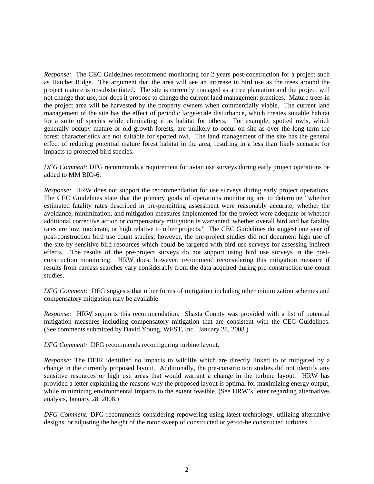*Response:* The CEC Guidelines recommend monitoring for 2 years post-construction for a project such as Hatchet Ridge. The argument that the area will see an increase in bird use as the trees around the project mature is unsubstantiated. The site is currently managed as a tree plantation and the project will not change that use, nor does it propose to change the current land management practices. Mature trees in the project area will be harvested by the property owners when commercially viable. The current land management of the site has the effect of periodic large-scale disturbance, which creates suitable habitat for a suite of species while eliminating it as habitat for others. For example, spotted owls, which generally occupy mature or old growth forests, are unlikely to occur on site as over the long-term the forest characteristics are not suitable for spotted owl. The land management of the site has the general effect of reducing potential mature forest habitat in the area, resulting in a less than likely scenario for impacts to protected bird species.

*DFG Comment:* DFG recommends a requirement for avian use surveys during early project operations be added to MM BIO-6.

*Response:* HRW does not support the recommendation for use surveys during early project operations. The CEC Guidelines state that the primary goals of operations monitoring are to determine "whether estimated fatality rates described in pre-permitting assessment were reasonably accurate; whether the avoidance, minimization, and mitigation measures implemented for the project were adequate or whether additional corrective action or compensatory mitigation is warranted; whether overall bird and bat fatality rates are low, moderate, or high relative to other projects." The CEC Guidelines do suggest one year of post-construction bird use count studies; however, the pre-project studies did not document high use of the site by sensitive bird resources which could be targeted with bird use surveys for assessing indirect effects. The results of the pre-project surveys do not support using bird use surveys in the postconstruction monitoring. HRW does, however, recommend reconsidering this mitigation measure if results from carcass searches vary considerably from the data acquired during pre-construction use count studies.

*DFG Comment:* DFG suggests that other forms of mitigation including other minimization schemes and compensatory mitigation may be available.

*Response:* HRW supports this recommendation. Shasta County was provided with a list of potential mitigation measures including compensatory mitigation that are consistent with the CEC Guidelines. (See comments submitted by David Young, WEST, Inc., January 28, 2008.)

*DFG Comment:* DFG recommends reconfiguring turbine layout.

*Response:* The DEIR identified no impacts to wildlife which are directly linked to or mitigated by a change in the currently proposed layout. Additionally, the pre-construction studies did not identify any sensitive resources or high use areas that would warrant a change in the turbine layout. HRW has provided a letter explaining the reasons why the proposed layout is optimal for maximizing energy output, while minimizing environmental impacts to the extent feasible. (See HRW's letter regarding alternatives analysis, January 28, 2008.)

*DFG Comment:* DFG recommends considering repowering using latest technology, utilizing alternative designs, or adjusting the height of the rotor sweep of constructed or yet-to-be constructed turbines.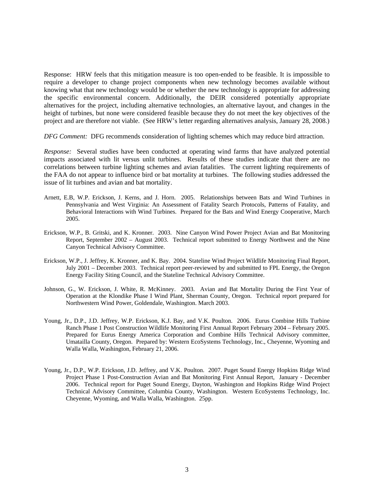Response: HRW feels that this mitigation measure is too open-ended to be feasible. It is impossible to require a developer to change project components when new technology becomes available without knowing what that new technology would be or whether the new technology is appropriate for addressing the specific environmental concern. Additionally, the DEIR considered potentially appropriate alternatives for the project, including alternative technologies, an alternative layout, and changes in the height of turbines, but none were considered feasible because they do not meet the key objectives of the project and are therefore not viable. (See HRW's letter regarding alternatives analysis, January 28, 2008.)

*DFG Comment:* DFG recommends consideration of lighting schemes which may reduce bird attraction.

*Response:* Several studies have been conducted at operating wind farms that have analyzed potential impacts associated with lit versus unlit turbines. Results of these studies indicate that there are no correlations between turbine lighting schemes and avian fatalities. The current lighting requirements of the FAA do not appear to influence bird or bat mortality at turbines. The following studies addressed the issue of lit turbines and avian and bat mortality.

- Arnett, E.B, W.P. Erickson, J. Kerns, and J. Horn. 2005. Relationships between Bats and Wind Turbines in Pennsylvania and West Virginia: An Assessment of Fatality Search Protocols, Patterns of Fatality, and Behavioral Interactions with Wind Turbines. Prepared for the Bats and Wind Energy Cooperative, March 2005.
- Erickson, W.P., B. Gritski, and K. Kronner. 2003. Nine Canyon Wind Power Project Avian and Bat Monitoring Report, September 2002 – August 2003. Technical report submitted to Energy Northwest and the Nine Canyon Technical Advisory Committee.
- Erickson, W.P., J. Jeffrey, K. Kronner, and K. Bay. 2004. Stateline Wind Project Wildlife Monitoring Final Report, July 2001 – December 2003. Technical report peer-reviewed by and submitted to FPL Energy, the Oregon Energy Facility Siting Council, and the Stateline Technical Advisory Committee.
- Johnson, G., W. Erickson, J. White, R. McKinney. 2003. Avian and Bat Mortality During the First Year of Operation at the Klondike Phase I Wind Plant, Sherman County, Oregon. Technical report prepared for Northwestern Wind Power, Goldendale, Washington. March 2003.
- Young, Jr., D.P., J.D. Jeffrey, W.P. Erickson, K.J. Bay, and V.K. Poulton. 2006. Eurus Combine Hills Turbine Ranch Phase 1 Post Construction Wildlife Monitoring First Annual Report February 2004 – February 2005. Prepared for Eurus Energy America Corporation and Combine Hills Technical Advisory committee, Umatailla County, Oregon. Prepared by: Western EcoSystems Technology, Inc., Cheyenne, Wyoming and Walla Walla, Washington, February 21, 2006.
- Young, Jr., D.P., W.P. Erickson, J.D. Jeffrey, and V.K. Poulton. 2007. Puget Sound Energy Hopkins Ridge Wind Project Phase 1 Post-Construction Avian and Bat Monitoring First Annual Report, January - December 2006. Technical report for Puget Sound Energy, Dayton, Washington and Hopkins Ridge Wind Project Technical Advisory Committee, Columbia County, Washington. Western EcoSystems Technology, Inc. Cheyenne, Wyoming, and Walla Walla, Washington. 25pp.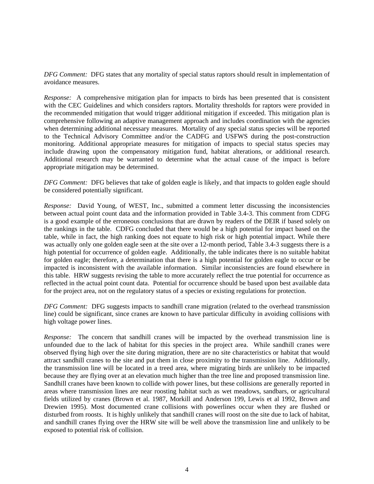*DFG Comment:* DFG states that any mortality of special status raptors should result in implementation of avoidance measures.

*Response:* A comprehensive mitigation plan for impacts to birds has been presented that is consistent with the CEC Guidelines and which considers raptors. Mortality thresholds for raptors were provided in the recommended mitigation that would trigger additional mitigation if exceeded. This mitigation plan is comprehensive following an adaptive management approach and includes coordination with the agencies when determining additional necessary measures. Mortality of any special status species will be reported to the Technical Advisory Committee and/or the CADFG and USFWS during the post-construction monitoring. Additional appropriate measures for mitigation of impacts to special status species may include drawing upon the compensatory mitigation fund, habitat alterations, or additional research. Additional research may be warranted to determine what the actual cause of the impact is before appropriate mitigation may be determined.

*DFG Comment:* DFG believes that take of golden eagle is likely, and that impacts to golden eagle should be considered potentially significant.

*Response:* David Young, of WEST, Inc., submitted a comment letter discussing the inconsistencies between actual point count data and the information provided in Table 3.4-3. This comment from CDFG is a good example of the erroneous conclusions that are drawn by readers of the DEIR if based solely on the rankings in the table. CDFG concluded that there would be a high potential for impact based on the table, while in fact, the high ranking does not equate to high risk or high potential impact. While there was actually only one golden eagle seen at the site over a 12-month period, Table 3.4-3 suggests there is a high potential for occurrence of golden eagle. Additionally, the table indicates there is no suitable habitat for golden eagle; therefore, a determination that there is a high potential for golden eagle to occur or be impacted is inconsistent with the available information. Similar inconsistencies are found elsewhere in this table. HRW suggests revising the table to more accurately reflect the true potential for occurrence as reflected in the actual point count data. Potential for occurrence should be based upon best available data for the project area, not on the regulatory status of a species or existing regulations for protection.

*DFG Comment:* DFG suggests impacts to sandhill crane migration (related to the overhead transmission line) could be significant, since cranes are known to have particular difficulty in avoiding collisions with high voltage power lines.

*Response:* The concern that sandhill cranes will be impacted by the overhead transmission line is unfounded due to the lack of habitat for this species in the project area. While sandhill cranes were observed flying high over the site during migration, there are no site characteristics or habitat that would attract sandhill cranes to the site and put them in close proximity to the transmission line. Additionally, the transmission line will be located in a treed area, where migrating birds are unlikely to be impacted because they are flying over at an elevation much higher than the tree line and proposed transmission line. Sandhill cranes have been known to collide with power lines, but these collisions are generally reported in areas where transmission lines are near roosting habitat such as wet meadows, sandbars, or agricultural fields utilized by cranes (Brown et al. 1987, Morkill and Anderson 199, Lewis et al 1992, Brown and Drewien 1995). Most documented crane collisions with powerlines occur when they are flushed or disturbed from roosts. It is highly unlikely that sandhill cranes will roost on the site due to lack of habitat, and sandhill cranes flying over the HRW site will be well above the transmission line and unlikely to be exposed to potential risk of collision.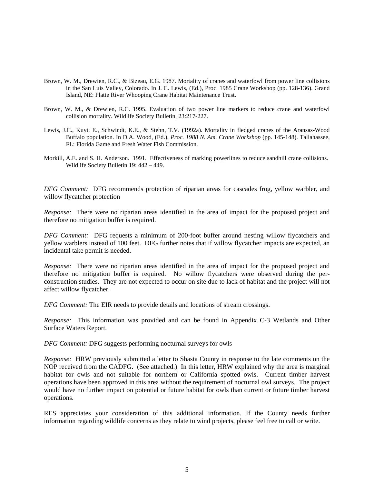- Brown, W. M., Drewien, R.C., & Bizeau, E.G. 1987. Mortality of cranes and waterfowl from power line collisions in the San Luis Valley, Colorado. In J. C. Lewis, (Ed.), Proc. 1985 Crane Workshop (pp. 128-136). Grand Island, NE: Platte River Whooping Crane Habitat Maintenance Trust.
- Brown, W. M., & Drewien, R.C. 1995. Evaluation of two power line markers to reduce crane and waterfowl collision mortality. Wildlife Society Bulletin, 23:217-227.
- Lewis, J.C., Kuyt, E., Schwindt, K.E., & Stehn, T.V. (1992a). Mortality in fledged cranes of the Aransas-Wood Buffalo population. In D.A. Wood, (Ed.), *Proc. 1988 N. Am. Crane Workshop* (pp. 145-148). Tallahassee, FL: Florida Game and Fresh Water Fish Commission.
- Morkill, A.E. and S. H. Anderson. 1991. Effectiveness of marking powerlines to reduce sandhill crane collisions. Wildlife Society Bulletin 19: 442 – 449.

*DFG Comment:* DFG recommends protection of riparian areas for cascades frog, yellow warbler, and willow flycatcher protection

*Response:* There were no riparian areas identified in the area of impact for the proposed project and therefore no mitigation buffer is required.

*DFG Comment:* DFG requests a minimum of 200-foot buffer around nesting willow flycatchers and yellow warblers instead of 100 feet. DFG further notes that if willow flycatcher impacts are expected, an incidental take permit is needed.

*Response:* There were no riparian areas identified in the area of impact for the proposed project and therefore no mitigation buffer is required. No willow flycatchers were observed during the perconstruction studies. They are not expected to occur on site due to lack of habitat and the project will not affect willow flycatcher.

*DFG Comment:* The EIR needs to provide details and locations of stream crossings.

*Response:* This information was provided and can be found in Appendix C-3 Wetlands and Other Surface Waters Report.

*DFG Comment:* DFG suggests performing nocturnal surveys for owls

*Response:* HRW previously submitted a letter to Shasta County in response to the late comments on the NOP received from the CADFG. (See attached.) In this letter, HRW explained why the area is marginal habitat for owls and not suitable for northern or California spotted owls. Current timber harvest operations have been approved in this area without the requirement of nocturnal owl surveys. The project would have no further impact on potential or future habitat for owls than current or future timber harvest operations.

RES appreciates your consideration of this additional information. If the County needs further information regarding wildlife concerns as they relate to wind projects, please feel free to call or write.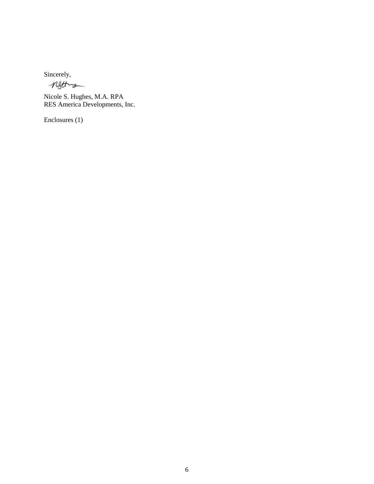Sincerely,

netting

Nicole S. Hughes, M.A. RPA RES America Developments, Inc.

Enclosures (1)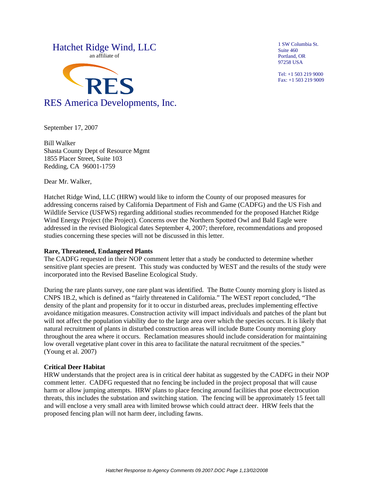

1 SW Columbia St. Suite 460 Portland, OR 97258 USA

Tel: +1 503 219 9000 Fax: +1 503 219 9009

September 17, 2007

Bill Walker Shasta County Dept of Resource Mgmt 1855 Placer Street, Suite 103 Redding, CA 96001-1759

Dear Mr. Walker,

Hatchet Ridge Wind, LLC (HRW) would like to inform the County of our proposed measures for addressing concerns raised by California Department of Fish and Game (CADFG) and the US Fish and Wildlife Service (USFWS) regarding additional studies recommended for the proposed Hatchet Ridge Wind Energy Project (the Project). Concerns over the Northern Spotted Owl and Bald Eagle were addressed in the revised Biological dates September 4, 2007; therefore, recommendations and proposed studies concerning these species will not be discussed in this letter.

#### **Rare, Threatened, Endangered Plants**

The CADFG requested in their NOP comment letter that a study be conducted to determine whether sensitive plant species are present. This study was conducted by WEST and the results of the study were incorporated into the Revised Baseline Ecological Study.

During the rare plants survey, one rare plant was identified. The Butte County morning glory is listed as CNPS 1B.2, which is defined as "fairly threatened in California." The WEST report concluded, "The density of the plant and propensity for it to occur in disturbed areas, precludes implementing effective avoidance mitigation measures. Construction activity will impact individuals and patches of the plant but will not affect the population viability due to the large area over which the species occurs. It is likely that natural recruitment of plants in disturbed construction areas will include Butte County morning glory throughout the area where it occurs. Reclamation measures should include consideration for maintaining low overall vegetative plant cover in this area to facilitate the natural recruitment of the species." (Young et al. 2007)

#### **Critical Deer Habitat**

HRW understands that the project area is in critical deer habitat as suggested by the CADFG in their NOP comment letter. CADFG requested that no fencing be included in the project proposal that will cause harm or allow jumping attempts. HRW plans to place fencing around facilities that pose electrocution threats, this includes the substation and switching station. The fencing will be approximately 15 feet tall and will enclose a very small area with limited browse which could attract deer. HRW feels that the proposed fencing plan will not harm deer, including fawns.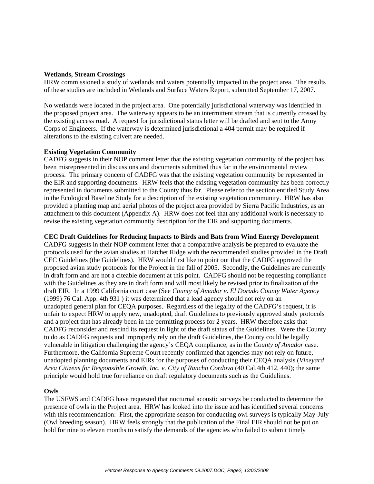#### **Wetlands, Stream Crossings**

HRW commissioned a study of wetlands and waters potentially impacted in the project area. The results of these studies are included in Wetlands and Surface Waters Report, submitted September 17, 2007.

No wetlands were located in the project area. One potentially jurisdictional waterway was identified in the proposed project area. The waterway appears to be an intermittent stream that is currently crossed by the existing access road. A request for jurisdictional status letter will be drafted and sent to the Army Corps of Engineers. If the waterway is determined jurisdictional a 404 permit may be required if alterations to the existing culvert are needed.

#### **Existing Vegetation Community**

CADFG suggests in their NOP comment letter that the existing vegetation community of the project has been misrepresented in discussions and documents submitted thus far in the environmental review process. The primary concern of CADFG was that the existing vegetation community be represented in the EIR and supporting documents. HRW feels that the existing vegetation community has been correctly represented in documents submitted to the County thus far. Please refer to the section entitled Study Area in the Ecological Baseline Study for a description of the existing vegetation community. HRW has also provided a planting map and aerial photos of the project area provided by Sierra Pacific Industries, as an attachment to this document (Appendix A). HRW does not feel that any additional work is necessary to revise the existing vegetation community description for the EIR and supporting documents.

#### **CEC Draft Guidelines for Reducing Impacts to Birds and Bats from Wind Energy Development**

CADFG suggests in their NOP comment letter that a comparative analysis be prepared to evaluate the protocols used for the avian studies at Hatchet Ridge with the recommended studies provided in the Draft CEC Guidelines (the Guidelines). HRW would first like to point out that the CADFG approved the proposed avian study protocols for the Project in the fall of 2005. Secondly, the Guidelines are currently in draft form and are not a citeable document at this point. CADFG should not be requesting compliance with the Guidelines as they are in draft form and will most likely be revised prior to finalization of the draft EIR. In a 1999 California court case (See *County of Amador v. El Dorado County Water Agency* (1999) 76 Cal. App. 4th 931 ) it was determined that a lead agency should not rely on an unadopted general plan for CEQA purposes. Regardless of the legality of the CADFG's request, it is unfair to expect HRW to apply new, unadopted, draft Guidelines to previously approved study protocols and a project that has already been in the permitting process for 2 years. HRW therefore asks that CADFG reconsider and rescind its request in light of the draft status of the Guidelines. Were the County to do as CADFG requests and improperly rely on the draft Guidelines, the County could be legally vulnerable in litigation challenging the agency's CEQA compliance, as in the *County of Amador* case. Furthermore, the California Supreme Court recently confirmed that agencies may not rely on future, unadopted planning documents and EIRs for the purposes of conducting their CEQA analysis (*Vineyard Area Citizens for Responsible Growth, Inc. v. City of Rancho Cordova* (40 Cal.4th 412, 440); the same principle would hold true for reliance on draft regulatory documents such as the Guidelines.

#### **Owls**

The USFWS and CADFG have requested that nocturnal acoustic surveys be conducted to determine the presence of owls in the Project area. HRW has looked into the issue and has identified several concerns with this recommendation: First, the appropriate season for conducting owl surveys is typically May-July (Owl breeding season). HRW feels strongly that the publication of the Final EIR should not be put on hold for nine to eleven months to satisfy the demands of the agencies who failed to submit timely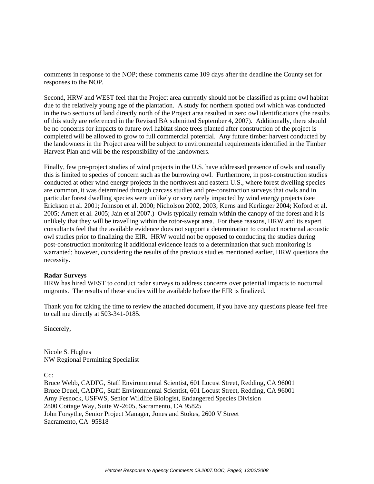comments in response to the NOP; these comments came 109 days after the deadline the County set for responses to the NOP.

Second, HRW and WEST feel that the Project area currently should not be classified as prime owl habitat due to the relatively young age of the plantation. A study for northern spotted owl which was conducted in the two sections of land directly north of the Project area resulted in zero owl identifications (the results of this study are referenced in the Revised BA submitted September 4, 2007). Additionally, there should be no concerns for impacts to future owl habitat since trees planted after construction of the project is completed will be allowed to grow to full commercial potential. Any future timber harvest conducted by the landowners in the Project area will be subject to environmental requirements identified in the Timber Harvest Plan and will be the responsibility of the landowners.

Finally, few pre-project studies of wind projects in the U.S. have addressed presence of owls and usually this is limited to species of concern such as the burrowing owl. Furthermore, in post-construction studies conducted at other wind energy projects in the northwest and eastern U.S., where forest dwelling species are common, it was determined through carcass studies and pre-construction surveys that owls and in particular forest dwelling species were unlikely or very rarely impacted by wind energy projects (see Erickson et al. 2001; Johnson et al. 2000; Nicholson 2002, 2003; Kerns and Kerlinger 2004; Koford et al. 2005; Arnett et al. 2005; Jain et al 2007.) Owls typically remain within the canopy of the forest and it is unlikely that they will be travelling within the rotor-swept area. For these reasons, HRW and its expert consultants feel that the available evidence does not support a determination to conduct nocturnal acoustic owl studies prior to finalizing the EIR. HRW would not be opposed to conducting the studies during post-construction monitoring if additional evidence leads to a determination that such monitoring is warranted; however, considering the results of the previous studies mentioned earlier, HRW questions the necessity.

#### **Radar Surveys**

HRW has hired WEST to conduct radar surveys to address concerns over potential impacts to nocturnal migrants. The results of these studies will be available before the EIR is finalized.

Thank you for taking the time to review the attached document, if you have any questions please feel free to call me directly at 503-341-0185.

Sincerely,

Nicole S. Hughes NW Regional Permitting Specialist

 $Cc$ 

Bruce Webb, CADFG, Staff Environmental Scientist, 601 Locust Street, Redding, CA 96001 Bruce Deuel, CADFG, Staff Environmental Scientist, 601 Locust Street, Redding, CA 96001 Amy Fesnock, USFWS, Senior Wildlife Biologist, Endangered Species Division 2800 Cottage Way, Suite W-2605, Sacramento, CA 95825 John Forsythe, Senior Project Manager, Jones and Stokes, 2600 V Street Sacramento, CA 95818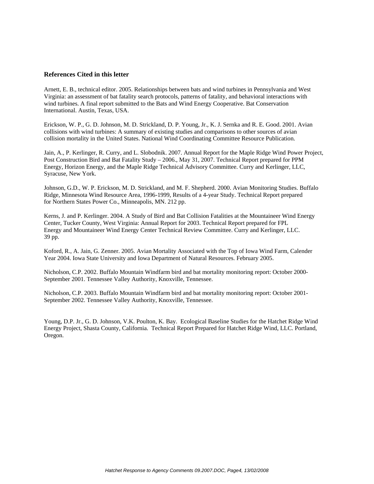#### **References Cited in this letter**

Arnett, E. B., technical editor. 2005. Relationships between bats and wind turbines in Pennsylvania and West Virginia: an assessment of bat fatality search protocols, patterns of fatality, and behavioral interactions with wind turbines. A final report submitted to the Bats and Wind Energy Cooperative. Bat Conservation International. Austin, Texas, USA.

Erickson, W. P., G. D. Johnson, M. D. Strickland, D. P. Young, Jr., K. J. Sernka and R. E. Good. 2001. Avian collisions with wind turbines: A summary of existing studies and comparisons to other sources of avian collision mortality in the United States. National Wind Coordinating Committee Resource Publication.

Jain, A., P. Kerlinger, R. Curry, and L. Slobodnik. 2007. Annual Report for the Maple Ridge Wind Power Project, Post Construction Bird and Bat Fatality Study – 2006., May 31, 2007. Technical Report prepared for PPM Energy, Horizon Energy, and the Maple Ridge Technical Advisory Committee. Curry and Kerlinger, LLC, Syracuse, New York.

Johnson, G.D., W. P. Erickson, M. D. Strickland, and M. F. Shepherd. 2000. Avian Monitoring Studies. Buffalo Ridge, Minnesota Wind Resource Area, 1996-1999, Results of a 4-year Study. Technical Report prepared for Northern States Power Co., Minneapolis, MN. 212 pp.

Kerns, J. and P. Kerlinger. 2004. A Study of Bird and Bat Collision Fatalities at the Mountaineer Wind Energy Center, Tucker County, West Virginia: Annual Report for 2003. Technical Report prepared for FPL Energy and Mountaineer Wind Energy Center Technical Review Committee. Curry and Kerlinger, LLC. 39 pp.

Koford, R., A. Jain, G. Zenner. 2005. Avian Mortality Associated with the Top of Iowa Wind Farm, Calender Year 2004. Iowa State University and Iowa Department of Natural Resources. February 2005.

Nicholson, C.P. 2002. Buffalo Mountain Windfarm bird and bat mortality monitoring report: October 2000- September 2001. Tennessee Valley Authority, Knoxville, Tennessee.

Nicholson, C.P. 2003. Buffalo Mountain Windfarm bird and bat mortality monitoring report: October 2001- September 2002. Tennessee Valley Authority, Knoxville, Tennessee.

Young, D.P. Jr., G. D. Johnson, V.K. Poulton, K. Bay. Ecological Baseline Studies for the Hatchet Ridge Wind Energy Project, Shasta County, California. Technical Report Prepared for Hatchet Ridge Wind, LLC. Portland, Oregon.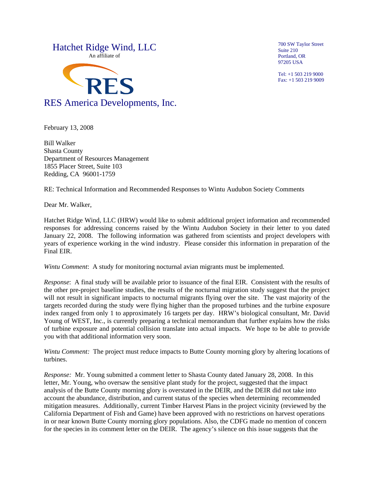

700 SW Taylor Street Suite 210 Portland, OR 97205 USA

Tel: +1 503 219 9000 Fax: +1 503 219 9009

February 13, 2008

Bill Walker Shasta County Department of Resources Management 1855 Placer Street, Suite 103 Redding, CA 96001-1759

RE: Technical Information and Recommended Responses to Wintu Audubon Society Comments

Dear Mr. Walker,

Hatchet Ridge Wind, LLC (HRW) would like to submit additional project information and recommended responses for addressing concerns raised by the Wintu Audubon Society in their letter to you dated January 22, 2008. The following information was gathered from scientists and project developers with years of experience working in the wind industry. Please consider this information in preparation of the Final EIR.

*Wintu Comment*: A study for monitoring nocturnal avian migrants must be implemented.

*Response*: A final study will be available prior to issuance of the final EIR. Consistent with the results of the other pre-project baseline studies, the results of the nocturnal migration study suggest that the project will not result in significant impacts to nocturnal migrants flying over the site. The vast majority of the targets recorded during the study were flying higher than the proposed turbines and the turbine exposure index ranged from only 1 to approximately 16 targets per day. HRW's biological consultant, Mr. David Young of WEST, Inc., is currently preparing a technical memorandum that further explains how the risks of turbine exposure and potential collision translate into actual impacts. We hope to be able to provide you with that additional information very soon.

*Wintu Comment:* The project must reduce impacts to Butte County morning glory by altering locations of turbines.

*Response:* Mr. Young submitted a comment letter to Shasta County dated January 28, 2008. In this letter, Mr. Young, who oversaw the sensitive plant study for the project, suggested that the impact analysis of the Butte County morning glory is overstated in the DEIR, and the DEIR did not take into account the abundance, distribution, and current status of the species when determining recommended mitigation measures. Additionally, current Timber Harvest Plans in the project vicinity (reviewed by the California Department of Fish and Game) have been approved with no restrictions on harvest operations in or near known Butte County morning glory populations. Also, the CDFG made no mention of concern for the species in its comment letter on the DEIR. The agency's silence on this issue suggests that the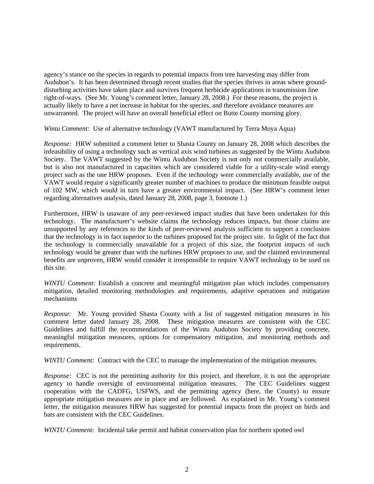agency's stance on the species in regards to potential impacts from tree harvesting may differ from Audubon's. It has been determined through recent studies that the species thrives in areas where grounddisturbing activities have taken place and survives frequent herbicide applications in transmission line right-of-ways. (See Mr. Young's comment letter, January 28, 2008.) For these reasons, the project is actually likely to have a net increase in habitat for the species, and therefore avoidance measures are unwarranted. The project will have an overall beneficial effect on Butte County morning glory.

*Wintu Comment:* Use of alternative technology (VAWT manufactured by Terra Moya Aqua)

*Response:* HRW submitted a comment letter to Shasta County on January 28, 2008 which describes the infeasibility of using a technology such as vertical axis wind turbines as suggested by the Wintu Audubon Society. The VAWT suggested by the Wintu Audubon Society is not only not commercially available, but is also not manufactured in capacities which are considered viable for a utility-scale wind energy project such as the one HRW proposes. Even if the technology were commercially available, use of the VAWT would require a significantly greater number of machines to produce the minimum feasible output of 102 MW, which would in turn have a greater environmental impact. (See HRW's comment letter regarding alternatives analysis, dated January 28, 2008, page 3, footnote 1.)

Furthermore, HRW is unaware of any peer-reviewed impact studies that have been undertaken for this technology. The manufacturer's website claims the technology reduces impacts, but those claims are unsupported by any references to the kinds of peer-reviewed analysis sufficient to support a conclusion that the technology is in fact superior to the turbines proposed for the project site. In light of the fact that the technology is commercially unavailable for a project of this size, the footprint impacts of such technology would be greater than with the turbines HRW proposes to use, and the claimed environmental benefits are unproven, HRW would consider it irresponsible to require VAWT technology to be used on this site.

*WINTU Comment:* Establish a concrete and meaningful mitigation plan which includes compensatory mitigation, detailed monitoring methodologies and requirements, adaptive operations and mitigation mechanisms

*Response:* Mr. Young provided Shasta County with a list of suggested mitigation measures in his comment letter dated January 28, 2008. These mitigation measures are consistent with the CEC Guidelines and fulfill the recommendations of the Wintu Audubon Society by providing concrete, meaningful mitigation measures, options for compensatory mitigation, and monitoring methods and requirements.

*WINTU Comment:* Contract with the CEC to manage the implementation of the mitigation measures.

*Response:* CEC is not the permitting authority for this project, and therefore, it is not the appropriate agency to handle oversight of environmental mitigation measures. The CEC Guidelines suggest cooperation with the CADFG, USFWS, and the permitting agency (here, the County) to ensure appropriate mitigation measures are in place and are followed. As explained in Mr. Young's comment letter, the mitigation measures HRW has suggested for potential impacts from the project on birds and bats are consistent with the CEC Guidelines.

*WINTU Comment:* Incidental take permit and habitat conservation plan for northern spotted owl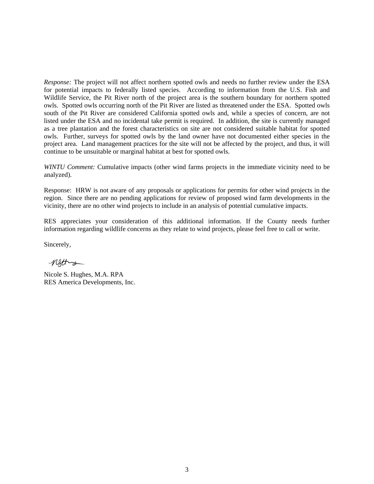*Response:* The project will not affect northern spotted owls and needs no further review under the ESA for potential impacts to federally listed species. According to information from the U.S. Fish and Wildlife Service, the Pit River north of the project area is the southern boundary for northern spotted owls. Spotted owls occurring north of the Pit River are listed as threatened under the ESA. Spotted owls south of the Pit River are considered California spotted owls and, while a species of concern, are not listed under the ESA and no incidental take permit is required. In addition, the site is currently managed as a tree plantation and the forest characteristics on site are not considered suitable habitat for spotted owls. Further, surveys for spotted owls by the land owner have not documented either species in the project area. Land management practices for the site will not be affected by the project, and thus, it will continue to be unsuitable or marginal habitat at best for spotted owls.

*WINTU Comment:* Cumulative impacts (other wind farms projects in the immediate vicinity need to be analyzed).

Response: HRW is not aware of any proposals or applications for permits for other wind projects in the region. Since there are no pending applications for review of proposed wind farm developments in the vicinity, there are no other wind projects to include in an analysis of potential cumulative impacts.

RES appreciates your consideration of this additional information. If the County needs further information regarding wildlife concerns as they relate to wind projects, please feel free to call or write.

Sincerely,

netting

Nicole S. Hughes, M.A. RPA RES America Developments, Inc.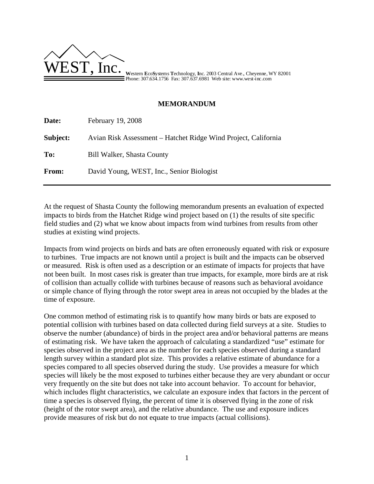

Phone: 307.634.1756 Fax: 307.637.6981 Web site: www.west-inc.com

## **MEMORANDUM**

| Date:    | February 19, 2008                                              |
|----------|----------------------------------------------------------------|
| Subject: | Avian Risk Assessment – Hatchet Ridge Wind Project, California |
| To:      | <b>Bill Walker, Shasta County</b>                              |
| From:    | David Young, WEST, Inc., Senior Biologist                      |

At the request of Shasta County the following memorandum presents an evaluation of expected impacts to birds from the Hatchet Ridge wind project based on (1) the results of site specific field studies and (2) what we know about impacts from wind turbines from results from other studies at existing wind projects.

Impacts from wind projects on birds and bats are often erroneously equated with risk or exposure to turbines. True impacts are not known until a project is built and the impacts can be observed or measured. Risk is often used as a description or an estimate of impacts for projects that have not been built. In most cases risk is greater than true impacts, for example, more birds are at risk of collision than actually collide with turbines because of reasons such as behavioral avoidance or simple chance of flying through the rotor swept area in areas not occupied by the blades at the time of exposure.

One common method of estimating risk is to quantify how many birds or bats are exposed to potential collision with turbines based on data collected during field surveys at a site. Studies to observe the number (abundance) of birds in the project area and/or behavioral patterns are means of estimating risk. We have taken the approach of calculating a standardized "use" estimate for species observed in the project area as the number for each species observed during a standard length survey within a standard plot size. This provides a relative estimate of abundance for a species compared to all species observed during the study. Use provides a measure for which species will likely be the most exposed to turbines either because they are very abundant or occur very frequently on the site but does not take into account behavior. To account for behavior, which includes flight characteristics, we calculate an exposure index that factors in the percent of time a species is observed flying, the percent of time it is observed flying in the zone of risk (height of the rotor swept area), and the relative abundance. The use and exposure indices provide measures of risk but do not equate to true impacts (actual collisions).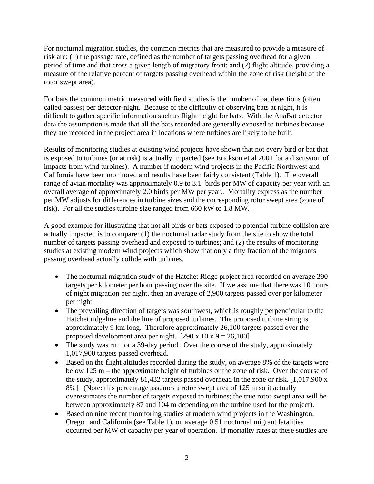For nocturnal migration studies, the common metrics that are measured to provide a measure of risk are: (1) the passage rate, defined as the number of targets passing overhead for a given period of time and that cross a given length of migratory front; and (2) flight altitude, providing a measure of the relative percent of targets passing overhead within the zone of risk (height of the rotor swept area).

For bats the common metric measured with field studies is the number of bat detections (often called passes) per detector-night. Because of the difficulty of observing bats at night, it is difficult to gather specific information such as flight height for bats. With the AnaBat detector data the assumption is made that all the bats recorded are generally exposed to turbines because they are recorded in the project area in locations where turbines are likely to be built.

Results of monitoring studies at existing wind projects have shown that not every bird or bat that is exposed to turbines (or at risk) is actually impacted (see Erickson et al 2001 for a discussion of impacts from wind turbines). A number if modern wind projects in the Pacific Northwest and California have been monitored and results have been fairly consistent (Table 1). The overall range of avian mortality was approximately 0.9 to 3.1 birds per MW of capacity per year with an overall average of approximately 2.0 birds per MW per year.. Mortality express as the number per MW adjusts for differences in turbine sizes and the corresponding rotor swept area (zone of risk). For all the studies turbine size ranged from 660 kW to 1.8 MW.

A good example for illustrating that not all birds or bats exposed to potential turbine collision are actually impacted is to compare: (1) the nocturnal radar study from the site to show the total number of targets passing overhead and exposed to turbines; and (2) the results of monitoring studies at existing modern wind projects which show that only a tiny fraction of the migrants passing overhead actually collide with turbines.

- The nocturnal migration study of the Hatchet Ridge project area recorded on average 290 targets per kilometer per hour passing over the site. If we assume that there was 10 hours of night migration per night, then an average of 2,900 targets passed over per kilometer per night.
- The prevailing direction of targets was southwest, which is roughly perpendicular to the Hatchet ridgeline and the line of proposed turbines. The proposed turbine string is approximately 9 km long. Therefore approximately 26,100 targets passed over the proposed development area per night.  $[290 \times 10 \times 9 = 26,100]$
- The study was run for a 39-day period. Over the course of the study, approximately 1,017,900 targets passed overhead.
- Based on the flight altitudes recorded during the study, on average 8% of the targets were below 125 m – the approximate height of turbines or the zone of risk. Over the course of the study, approximately 81,432 targets passed overhead in the zone or risk. [1,017,900 x 8%] (Note: this percentage assumes a rotor swept area of 125 m so it actually overestimates the number of targets exposed to turbines; the true rotor swept area will be between approximately 87 and 104 m depending on the turbine used for the project).
- Based on nine recent monitoring studies at modern wind projects in the Washington, Oregon and California (see Table 1), on average 0.51 nocturnal migrant fatalities occurred per MW of capacity per year of operation. If mortality rates at these studies are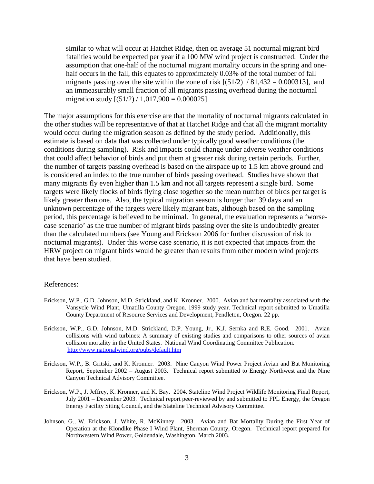similar to what will occur at Hatchet Ridge, then on average 51 nocturnal migrant bird fatalities would be expected per year if a 100 MW wind project is constructed. Under the assumption that one-half of the nocturnal migrant mortality occurs in the spring and onehalf occurs in the fall, this equates to approximately 0.03% of the total number of fall migrants passing over the site within the zone of risk  $[(51/2) / 81,432 = 0.000313]$ , and an immeasurably small fraction of all migrants passing overhead during the nocturnal migration study  $[(51/2) / 1,017,900 = 0.000025]$ 

The major assumptions for this exercise are that the mortality of nocturnal migrants calculated in the other studies will be representative of that at Hatchet Ridge and that all the migrant mortality would occur during the migration season as defined by the study period. Additionally, this estimate is based on data that was collected under typically good weather conditions (the conditions during sampling). Risk and impacts could change under adverse weather conditions that could affect behavior of birds and put them at greater risk during certain periods. Further, the number of targets passing overhead is based on the airspace up to 1.5 km above ground and is considered an index to the true number of birds passing overhead. Studies have shown that many migrants fly even higher than 1.5 km and not all targets represent a single bird. Some targets were likely flocks of birds flying close together so the mean number of birds per target is likely greater than one. Also, the typical migration season is longer than 39 days and an unknown percentage of the targets were likely migrant bats, although based on the sampling period, this percentage is believed to be minimal. In general, the evaluation represents a 'worsecase scenario' as the true number of migrant birds passing over the site is undoubtedly greater than the calculated numbers (see Young and Erickson 2006 for further discussion of risk to nocturnal migrants). Under this worse case scenario, it is not expected that impacts from the HRW project on migrant birds would be greater than results from other modern wind projects that have been studied.

#### References:

- Erickson, W.P., G.D. Johnson, M.D. Strickland, and K. Kronner. 2000. Avian and bat mortality associated with the Vansycle Wind Plant, Umatilla County Oregon. 1999 study year. Technical report submitted to Umatilla County Department of Resource Services and Development, Pendleton, Oregon. 22 pp.
- Erickson, W.P., G.D. Johnson, M.D. Strickland, D.P. Young, Jr., K.J. Sernka and R.E. Good. 2001. Avian collisions with wind turbines: A summary of existing studies and comparisons to other sources of avian collision mortality in the United States. National Wind Coordinating Committee Publication. http://www.nationalwind.org/pubs/default.htm
- Erickson, W.P., B. Gritski, and K. Kronner. 2003. Nine Canyon Wind Power Project Avian and Bat Monitoring Report, September 2002 – August 2003. Technical report submitted to Energy Northwest and the Nine Canyon Technical Advisory Committee.
- Erickson, W.P., J. Jeffrey, K. Kronner, and K. Bay. 2004. Stateline Wind Project Wildlife Monitoring Final Report, July 2001 – December 2003. Technical report peer-reviewed by and submitted to FPL Energy, the Oregon Energy Facility Siting Council, and the Stateline Technical Advisory Committee.
- Johnson, G., W. Erickson, J. White, R. McKinney. 2003. Avian and Bat Mortality During the First Year of Operation at the Klondike Phase I Wind Plant, Sherman County, Oregon. Technical report prepared for Northwestern Wind Power, Goldendale, Washington. March 2003.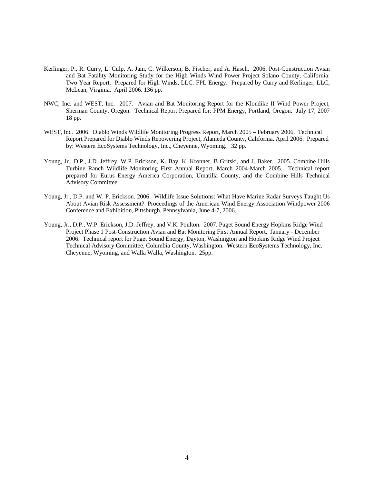- Kerlinger, P., R. Curry, L. Culp, A. Jain, C. Wilkerson, B. Fischer, and A. Hasch. 2006. Post-Construction Avian and Bat Fatality Monitoring Study for the High Winds Wind Power Project Solano County, California: Two Year Report. Prepared for High Winds, LLC. FPL Energy. Prepared by Curry and Kerlinger, LLC, McLean, Virginia. April 2006. 136 pp.
- NWC, Inc. and WEST, Inc. 2007. Avian and Bat Monitoring Report for the Klondike II Wind Power Project, Sherman County, Oregon. Technical Report Prepared for: PPM Energy, Portland, Oregon. July 17, 2007 18 pp.
- WEST, Inc. 2006. Diablo Winds Wildlife Monitoring Progress Report, March 2005 February 2006. Technical Report Prepared for Diablo Winds Repowering Project, Alameda County, California. April 2006. Prepared by: Western EcoSystems Technology, Inc., Cheyenne, Wyoming. 32 pp.
- Young, Jr., D.P., J.D. Jeffrey, W.P. Erickson, K. Bay, K. Kronner, B Gritski, and J. Baker. 2005. Combine Hills Turbine Ranch Wildlife Monitoring First Annual Report, March 2004-March 2005. Technical report prepared for Eurus Energy America Corporation, Umatilla County, and the Combine Hills Technical Advisory Committee.
- Young, Jr., D.P. and W. P. Erickson. 2006. Wildlife Issue Solutions: What Have Marine Radar Surveys Taught Us About Avian Risk Assessment? Proceedings of the American Wind Energy Association Windpower 2006 Conference and Exhibition, Pittsburgh, Pennsylvania, June 4-7, 2006.
- Young, Jr., D.P., W.P. Erickson, J.D. Jeffrey, and V.K. Poulton. 2007. Puget Sound Energy Hopkins Ridge Wind Project Phase 1 Post-Construction Avian and Bat Monitoring First Annual Report, January - December 2006. Technical report for Puget Sound Energy, Dayton, Washington and Hopkins Ridge Wind Project Technical Advisory Committee, Columbia County, Washington. **W**estern **E**co**S**ystems Technology, Inc. Cheyenne, Wyoming, and Walla Walla, Washington. 25pp.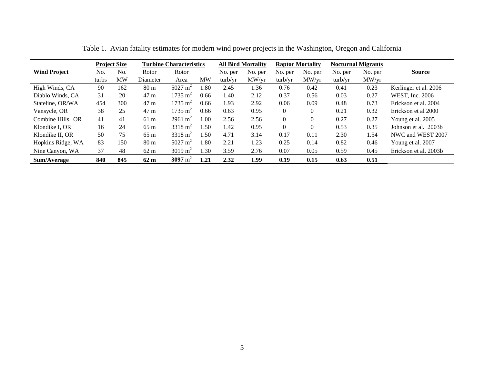|                     |       | <b>Project Size</b> | <b>Turbine Characteristics</b> |                    | <b>All Bird Mortality</b> |         | <b>Raptor Mortality</b> |          | <b>Nocturnal Migrants</b> |         |         |                       |
|---------------------|-------|---------------------|--------------------------------|--------------------|---------------------------|---------|-------------------------|----------|---------------------------|---------|---------|-----------------------|
| <b>Wind Project</b> | No.   | No.                 | Rotor                          | Rotor              |                           | No. per | No. per                 | No. per  | No. per                   | No. per | No. per | <b>Source</b>         |
|                     | turbs | MW                  | Diameter                       | Area               | MW                        | turb/yr | MW/vr                   | turb/yr  | MW/vr                     | turb/vr | MW/yr   |                       |
| High Winds, CA      | 90    | 162                 | 80 <sub>m</sub>                | $5027 \text{ m}^2$ | .80                       | 2.45    | 1.36                    | 0.76     | 0.42                      | 0.41    | 0.23    | Kerlinger et al. 2006 |
| Diablo Winds, CA    | 31    | 20                  | 47 m                           | $1735 \text{ m}^2$ | 0.66                      | 1.40    | 2.12                    | 0.37     | 0.56                      | 0.03    | 0.27    | WEST, Inc. 2006       |
| Stateline, OR/WA    | 454   | 300                 | 47 <sub>m</sub>                | $1735 \text{ m}^2$ | 0.66                      | 1.93    | 2.92                    | 0.06     | 0.09                      | 0.48    | 0.73    | Erickson et al. 2004  |
| Vansycle, OR        | 38    | 25                  | 47 m                           | $1735 \text{ m}^2$ | 0.66                      | 0.63    | 0.95                    | $\theta$ | $\theta$                  | 0.21    | 0.32    | Erickson et al 2000   |
| Combine Hills. OR   | 41    | 41                  | 61 <sub>m</sub>                | $2961 \text{ m}^2$ | 1.00                      | 2.56    | 2.56                    | $\Omega$ | $\theta$                  | 0.27    | 0.27    | Young et al. 2005     |
| Klondike I. OR      | 16    | 24                  | $65 \text{ m}$                 | $3318 \text{ m}^2$ | .50 <sub>1</sub>          | 1.42    | 0.95                    | $\Omega$ | $\Omega$                  | 0.53    | 0.35    | Johnson et al. 2003b  |
| Klondike II, OR     | 50    | 75                  | $65 \text{ m}$                 | $3318 \text{ m}^2$ | 1.50                      | 4.71    | 3.14                    | 0.17     | 0.11                      | 2.30    | 1.54    | NWC and WEST 2007     |
| Hopkins Ridge, WA   | 83    | 150                 | 80 <sub>m</sub>                | $5027 \text{ m}^2$ | .80                       | 2.21    | 1.23                    | 0.25     | 0.14                      | 0.82    | 0.46    | Young et al. 2007     |
| Nine Canyon, WA     | 37    | 48                  | $62 \text{ m}$                 | $3019 \text{ m}^2$ | l.30                      | 3.59    | 2.76                    | 0.07     | 0.05                      | 0.59    | 0.45    | Erickson et al. 2003b |
| Sum/Average         | 840   | 845                 | $62 \text{ m}$                 | 3097 $m^2$         | 1.21                      | 2.32    | 1.99                    | 0.19     | 0.15                      | 0.63    | 0.51    |                       |

Table 1. Avian fatality estimates for modern wind power projects in the Washington, Oregon and California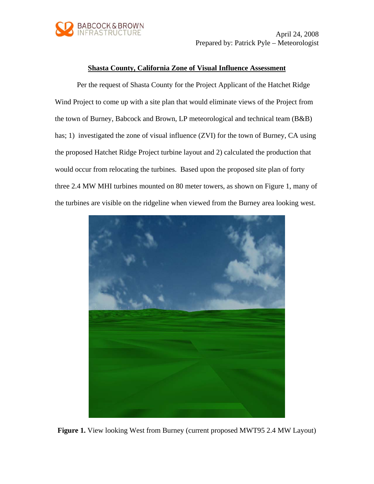

 April 24, 2008 Prepared by: Patrick Pyle – Meteorologist

### **Shasta County, California Zone of Visual Influence Assessment**

Per the request of Shasta County for the Project Applicant of the Hatchet Ridge Wind Project to come up with a site plan that would eliminate views of the Project from the town of Burney, Babcock and Brown, LP meteorological and technical team (B&B) has; 1) investigated the zone of visual influence (ZVI) for the town of Burney, CA using the proposed Hatchet Ridge Project turbine layout and 2) calculated the production that would occur from relocating the turbines. Based upon the proposed site plan of forty three 2.4 MW MHI turbines mounted on 80 meter towers, as shown on Figure 1, many of the turbines are visible on the ridgeline when viewed from the Burney area looking west.



**Figure 1.** View looking West from Burney (current proposed MWT95 2.4 MW Layout)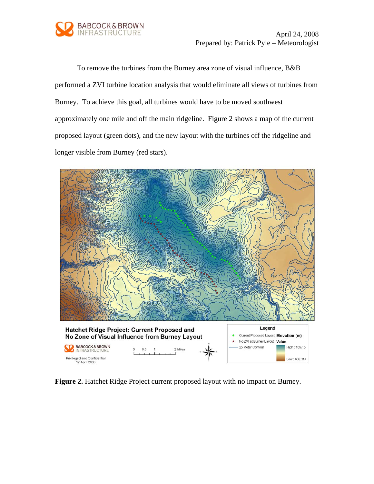

 April 24, 2008 Prepared by: Patrick Pyle – Meteorologist

To remove the turbines from the Burney area zone of visual influence, B&B performed a ZVI turbine location analysis that would eliminate all views of turbines from Burney. To achieve this goal, all turbines would have to be moved southwest approximately one mile and off the main ridgeline. Figure 2 shows a map of the current proposed layout (green dots), and the new layout with the turbines off the ridgeline and longer visible from Burney (red stars).



**Figure 2.** Hatchet Ridge Project current proposed layout with no impact on Burney.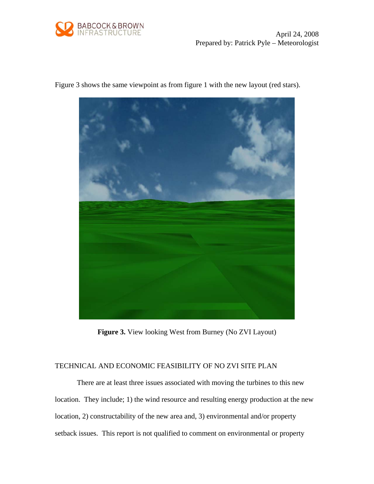

 April 24, 2008 Prepared by: Patrick Pyle – Meteorologist



Figure 3 shows the same viewpoint as from figure 1 with the new layout (red stars).

**Figure 3.** View looking West from Burney (No ZVI Layout)

## TECHNICAL AND ECONOMIC FEASIBILITY OF NO ZVI SITE PLAN

There are at least three issues associated with moving the turbines to this new location. They include; 1) the wind resource and resulting energy production at the new location, 2) constructability of the new area and, 3) environmental and/or property setback issues. This report is not qualified to comment on environmental or property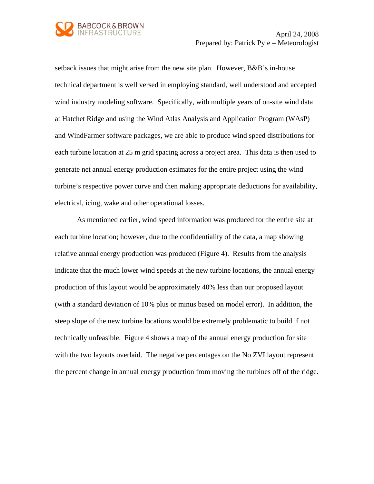

Prepared by: Patrick Pyle – Meteorologist

setback issues that might arise from the new site plan. However, B&B's in-house technical department is well versed in employing standard, well understood and accepted wind industry modeling software. Specifically, with multiple years of on-site wind data at Hatchet Ridge and using the Wind Atlas Analysis and Application Program (WAsP) and WindFarmer software packages, we are able to produce wind speed distributions for each turbine location at 25 m grid spacing across a project area. This data is then used to generate net annual energy production estimates for the entire project using the wind turbine's respective power curve and then making appropriate deductions for availability, electrical, icing, wake and other operational losses.

As mentioned earlier, wind speed information was produced for the entire site at each turbine location; however, due to the confidentiality of the data, a map showing relative annual energy production was produced (Figure 4). Results from the analysis indicate that the much lower wind speeds at the new turbine locations, the annual energy production of this layout would be approximately 40% less than our proposed layout (with a standard deviation of 10% plus or minus based on model error). In addition, the steep slope of the new turbine locations would be extremely problematic to build if not technically unfeasible. Figure 4 shows a map of the annual energy production for site with the two layouts overlaid. The negative percentages on the No ZVI layout represent the percent change in annual energy production from moving the turbines off of the ridge.